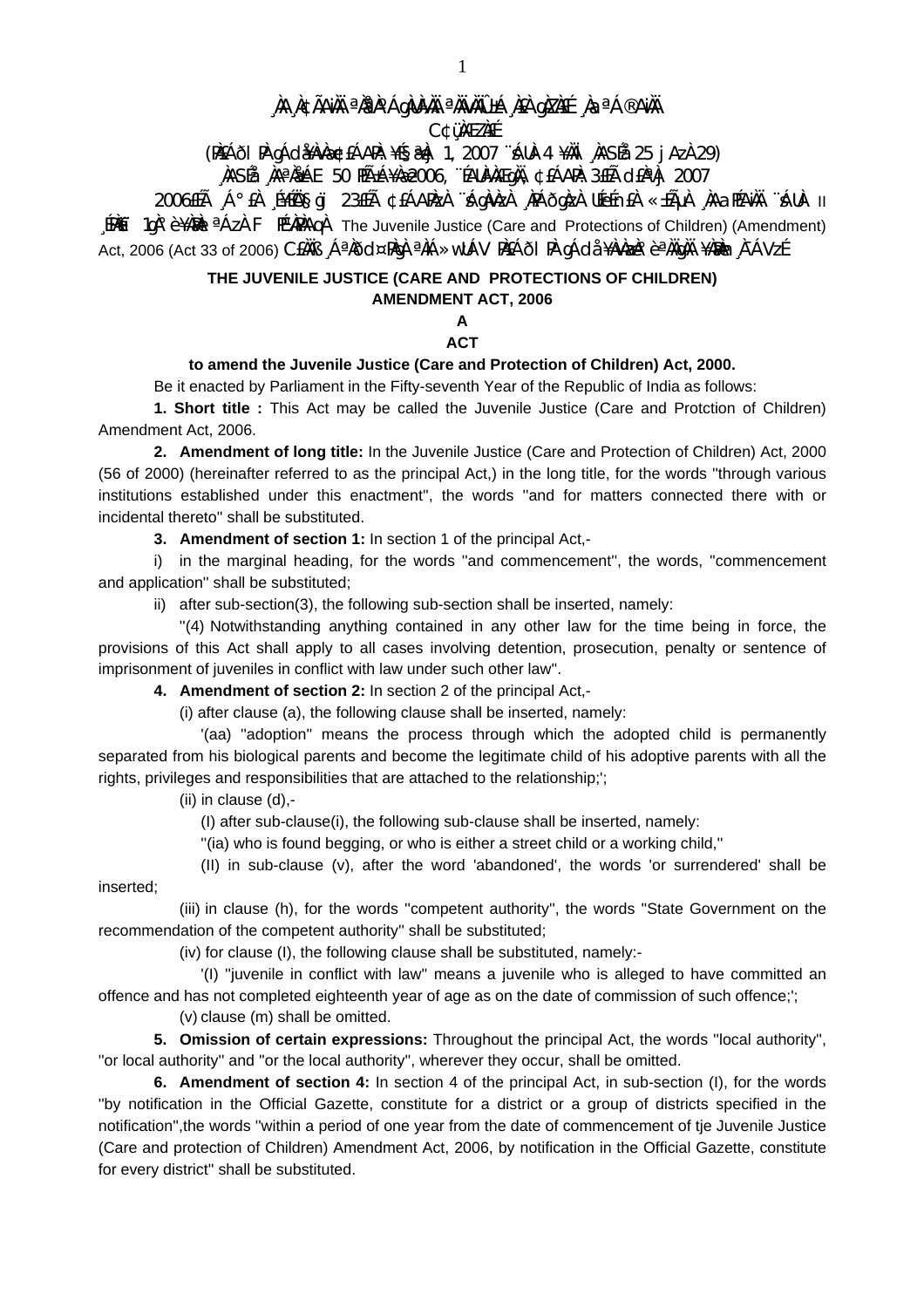## , ÀA A¢ÃAìÀ ªÀªÀ°ÁgÀUÀÀÀ ªÀïvÀÏÛ±Á À£À gÀZÀ£É , ÀaªÁ®AìÀÏ

**C¢üMEZNEE** 

(PIEÁði PI gÁdi¥AvAæ¢EÁAPA: ¥É§æAj 1, 2007 ¨ÁUA-4 ¥AII 'NASÉa 25 j Az) 29)

,ìASÉå ,ìAªÀåÁE 50 HñÁ¥Àæ2006, "ÉAUÀÀÆqÀI, ¢£ÁARÌ: 3£Éà cI£ÀªÀj 2007

2006ELà A° EN E¥EŬAŞQU 23ELà ¢EÁAPAZA Aqavaza APAÕgaza UEefnEA «±ÃµA AAZAPAAÄ "AUA- II  $[IME]$  1g)<sup>o</sup> è ¥AM) <sup>a</sup> Az) F It<sup>a</sup>MAG
A The Juvenile Justice (Care and Protections of Children) (Amendment) Act, 2006 (Act 33 of 2006) CEAAB A<sup>a</sup>AÕd¤PAgA <sup>a</sup>AiÁ»wUÁV PAEÁÕI PA gÁda ¥AvAzA° è <sup>a</sup>AAgAA ¥ARAn A-ÁVzÉ

# THE JUVENILE JUSTICE (CARE AND PROTECTIONS OF CHILDREN)

## **AMENDMENT ACT, 2006**

#### $\mathsf{A}$ **ACT**

### to amend the Juvenile Justice (Care and Protection of Children) Act, 2000.

Be it enacted by Parliament in the Fifty-seventh Year of the Republic of India as follows:

1. Short title : This Act may be called the Juvenile Justice (Care and Protction of Children) Amendment Act, 2006.

2. Amendment of long title: In the Juvenile Justice (Care and Protection of Children) Act, 2000 (56 of 2000) (hereinafter referred to as the principal Act,) in the long title, for the words "through various institutions established under this enactment", the words "and for matters connected there with or incidental thereto" shall be substituted.

3. Amendment of section 1: In section 1 of the principal Act.-

i) in the marginal heading, for the words "and commencement", the words, "commencement and application" shall be substituted;

ii) after sub-section(3), the following sub-section shall be inserted, namely:

"(4) Notwithstanding anything contained in any other law for the time being in force, the provisions of this Act shall apply to all cases involving detention, prosecution, penalty or sentence of imprisonment of juveniles in conflict with law under such other law".

4. Amendment of section 2: In section 2 of the principal Act,-

(i) after clause (a), the following clause shall be inserted, namely:

'(aa) "adoption" means the process through which the adopted child is permanently separated from his biological parents and become the legitimate child of his adoptive parents with all the rights, privileges and responsibilities that are attached to the relationship;";

(ii) in clause  $(d)$ ,-

(I) after sub-clause(i), the following sub-clause shall be inserted, namely:

"(ia) who is found begging, or who is either a street child or a working child,"

(II) in sub-clause (v), after the word 'abandoned', the words 'or surrendered' shall be inserted:

(iii) in clause (h), for the words "competent authority", the words "State Government on the recommendation of the competent authority" shall be substituted;

(iv) for clause (I), the following clause shall be substituted, namely:-

'(I) "juvenile in conflict with law" means a juvenile who is alleged to have committed an offence and has not completed eighteenth year of age as on the date of commission of such offence;';

(v) clause (m) shall be omitted.

5. Omission of certain expressions: Throughout the principal Act, the words "local authority", "or local authority" and "or the local authority", wherever they occur, shall be omitted.

6. Amendment of section 4: In section 4 of the principal Act, in sub-section (I), for the words "by notification in the Official Gazette, constitute for a district or a group of districts specified in the notification", the words "within a period of one year from the date of commencement of tje Juvenile Justice (Care and protection of Children) Amendment Act, 2006, by notification in the Official Gazette, constitute for every district" shall be substituted.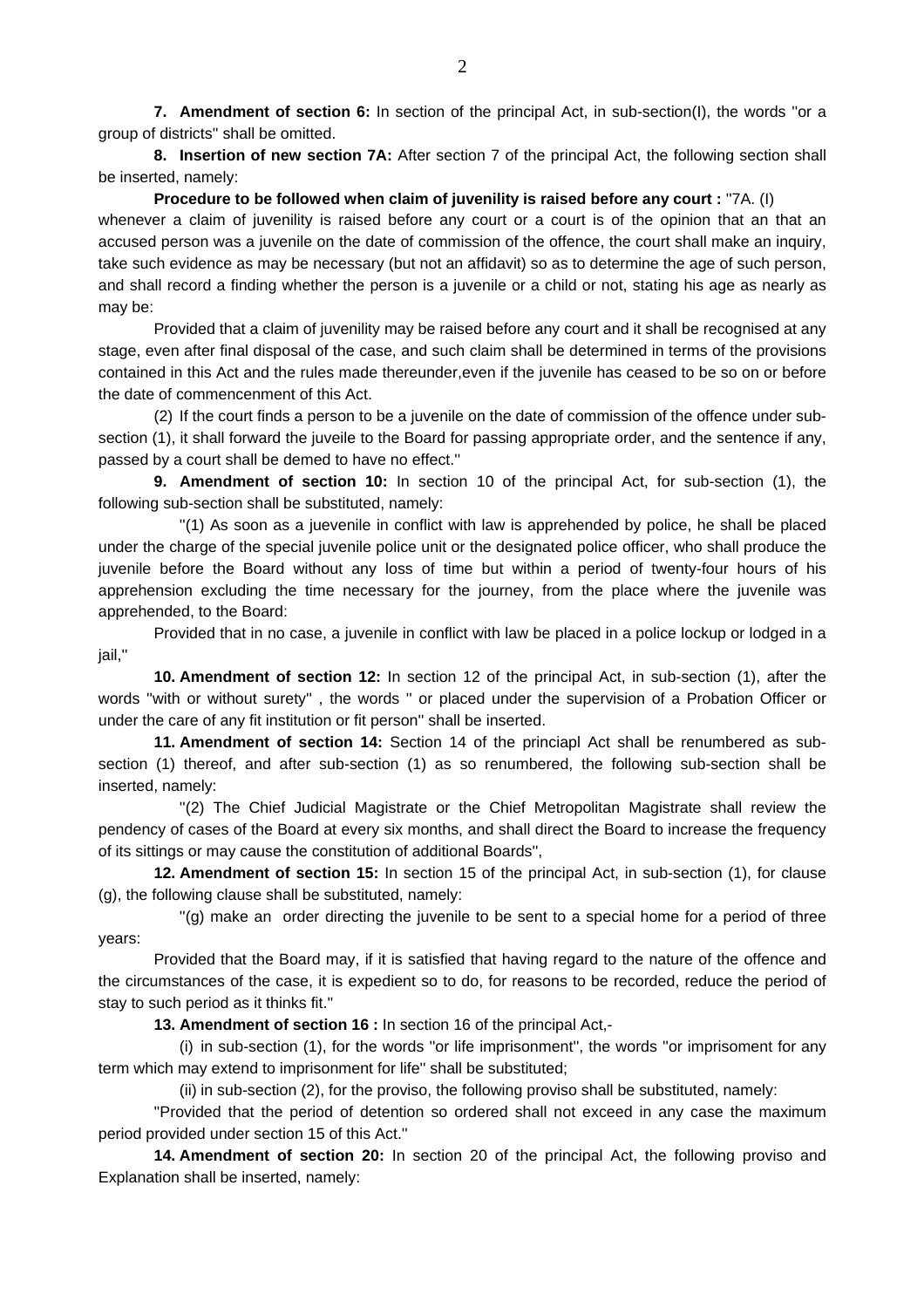**7. Amendment of section 6:** In section of the principal Act, in sub-section(I), the words ''or a group of districts'' shall be omitted.

**8. Insertion of new section 7A:** After section 7 of the principal Act, the following section shall be inserted, namely:

**Procedure to be followed when claim of juvenility is raised before any court:** "7A. (I)

whenever a claim of juvenility is raised before any court or a court is of the opinion that an that an accused person was a juvenile on the date of commission of the offence, the court shall make an inquiry, take such evidence as may be necessary (but not an affidavit) so as to determine the age of such person, and shall record a finding whether the person is a juvenile or a child or not, stating his age as nearly as may be:

 Provided that a claim of juvenility may be raised before any court and it shall be recognised at any stage, even after final disposal of the case, and such claim shall be determined in terms of the provisions contained in this Act and the rules made thereunder,even if the juvenile has ceased to be so on or before the date of commencenment of this Act.

 (2) If the court finds a person to be a juvenile on the date of commission of the offence under subsection (1), it shall forward the juveile to the Board for passing appropriate order, and the sentence if any, passed by a court shall be demed to have no effect.''

**9. Amendment of section 10:** In section 10 of the principal Act, for sub-section (1), the following sub-section shall be substituted, namely:

 ''(1) As soon as a juevenile in conflict with law is apprehended by police, he shall be placed under the charge of the special juvenile police unit or the designated police officer, who shall produce the juvenile before the Board without any loss of time but within a period of twenty-four hours of his apprehension excluding the time necessary for the journey, from the place where the juvenile was apprehended, to the Board:

 Provided that in no case, a juvenile in conflict with law be placed in a police lockup or lodged in a jail,''

**10. Amendment of section 12:** In section 12 of the principal Act, in sub-section (1), after the words ''with or without surety'' , the words '' or placed under the supervision of a Probation Officer or under the care of any fit institution or fit person'' shall be inserted.

**11. Amendment of section 14:** Section 14 of the princiapl Act shall be renumbered as subsection (1) thereof, and after sub-section (1) as so renumbered, the following sub-section shall be inserted, namely:

 ''(2) The Chief Judicial Magistrate or the Chief Metropolitan Magistrate shall review the pendency of cases of the Board at every six months, and shall direct the Board to increase the frequency of its sittings or may cause the constitution of additional Boards'',

**12. Amendment of section 15:** In section 15 of the principal Act, in sub-section (1), for clause (g), the following clause shall be substituted, namely:

 ''(g) make an order directing the juvenile to be sent to a special home for a period of three years:

 Provided that the Board may, if it is satisfied that having regard to the nature of the offence and the circumstances of the case, it is expedient so to do, for reasons to be recorded, reduce the period of stay to such period as it thinks fit.''

**13. Amendment of section 16 :** In section 16 of the principal Act,-

 (i) in sub-section (1), for the words ''or life imprisonment'', the words ''or imprisoment for any term which may extend to imprisonment for life'' shall be substituted;

(ii) in sub-section (2), for the proviso, the following proviso shall be substituted, namely:

 ''Provided that the period of detention so ordered shall not exceed in any case the maximum period provided under section 15 of this Act.''

**14. Amendment of section 20:** In section 20 of the principal Act, the following proviso and Explanation shall be inserted, namely: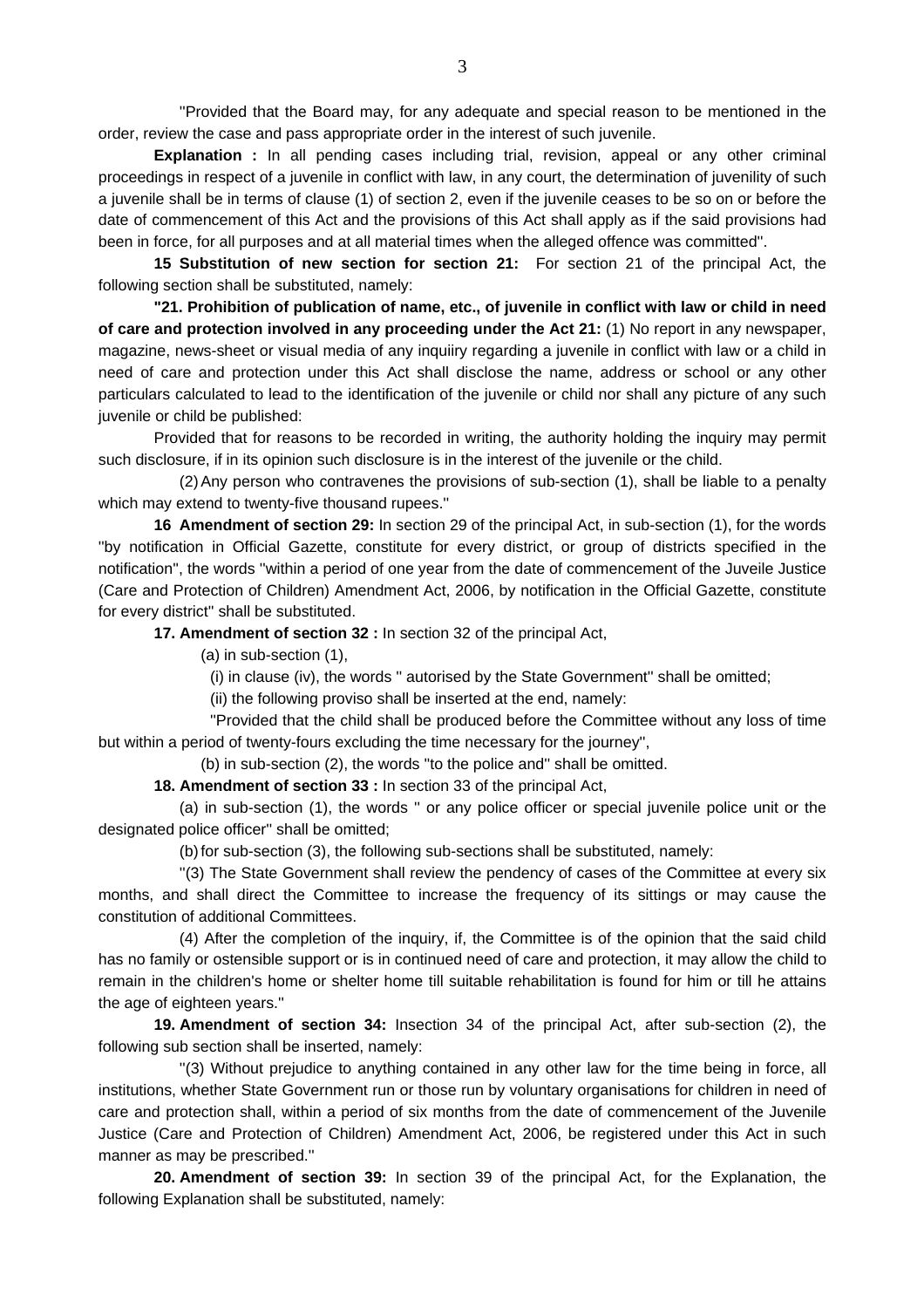''Provided that the Board may, for any adequate and special reason to be mentioned in the order, review the case and pass appropriate order in the interest of such juvenile.

**Explanation :** In all pending cases including trial, revision, appeal or any other criminal proceedings in respect of a juvenile in conflict with law, in any court, the determination of juvenility of such a juvenile shall be in terms of clause (1) of section 2, even if the juvenile ceases to be so on or before the date of commencement of this Act and the provisions of this Act shall apply as if the said provisions had been in force, for all purposes and at all material times when the alleged offence was committed''.

**15 Substitution of new section for section 21:** For section 21 of the principal Act, the following section shall be substituted, namely:

**"21. Prohibition of publication of name, etc., of juvenile in conflict with law or child in need of care and protection involved in any proceeding under the Act 21:** (1) No report in any newspaper, magazine, news-sheet or visual media of any inquiiry regarding a juvenile in conflict with law or a child in need of care and protection under this Act shall disclose the name, address or school or any other particulars calculated to lead to the identification of the juvenile or child nor shall any picture of any such juvenile or child be published:

 Provided that for reasons to be recorded in writing, the authority holding the inquiry may permit such disclosure, if in its opinion such disclosure is in the interest of the juvenile or the child.

 (2) Any person who contravenes the provisions of sub-section (1), shall be liable to a penalty which may extend to twenty-five thousand rupees.''

**16 Amendment of section 29:** In section 29 of the principal Act, in sub-section (1), for the words ''by notification in Official Gazette, constitute for every district, or group of districts specified in the notification'', the words ''within a period of one year from the date of commencement of the Juveile Justice (Care and Protection of Children) Amendment Act, 2006, by notification in the Official Gazette, constitute for every district'' shall be substituted.

**17. Amendment of section 32 :** In section 32 of the principal Act,

(a) in sub-section (1),

(i) in clause (iv), the words '' autorised by the State Government'' shall be omitted;

(ii) the following proviso shall be inserted at the end, namely:

 ''Provided that the child shall be produced before the Committee without any loss of time but within a period of twenty-fours excluding the time necessary for the journey'',

(b) in sub-section (2), the words ''to the police and'' shall be omitted.

**18. Amendment of section 33 :** In section 33 of the principal Act,

 (a) in sub-section (1), the words '' or any police officer or special juvenile police unit or the designated police officer'' shall be omitted;

(b) for sub-section (3), the following sub-sections shall be substituted, namely:

 ''(3) The State Government shall review the pendency of cases of the Committee at every six months, and shall direct the Committee to increase the frequency of its sittings or may cause the constitution of additional Committees.

 (4) After the completion of the inquiry, if, the Committee is of the opinion that the said child has no family or ostensible support or is in continued need of care and protection, it may allow the child to remain in the children's home or shelter home till suitable rehabilitation is found for him or till he attains the age of eighteen years.''

**19. Amendment of section 34:** Insection 34 of the principal Act, after sub-section (2), the following sub section shall be inserted, namely:

 ''(3) Without prejudice to anything contained in any other law for the time being in force, all institutions, whether State Government run or those run by voluntary organisations for children in need of care and protection shall, within a period of six months from the date of commencement of the Juvenile Justice (Care and Protection of Children) Amendment Act, 2006, be registered under this Act in such manner as may be prescribed.''

**20. Amendment of section 39:** In section 39 of the principal Act, for the Explanation, the following Explanation shall be substituted, namely: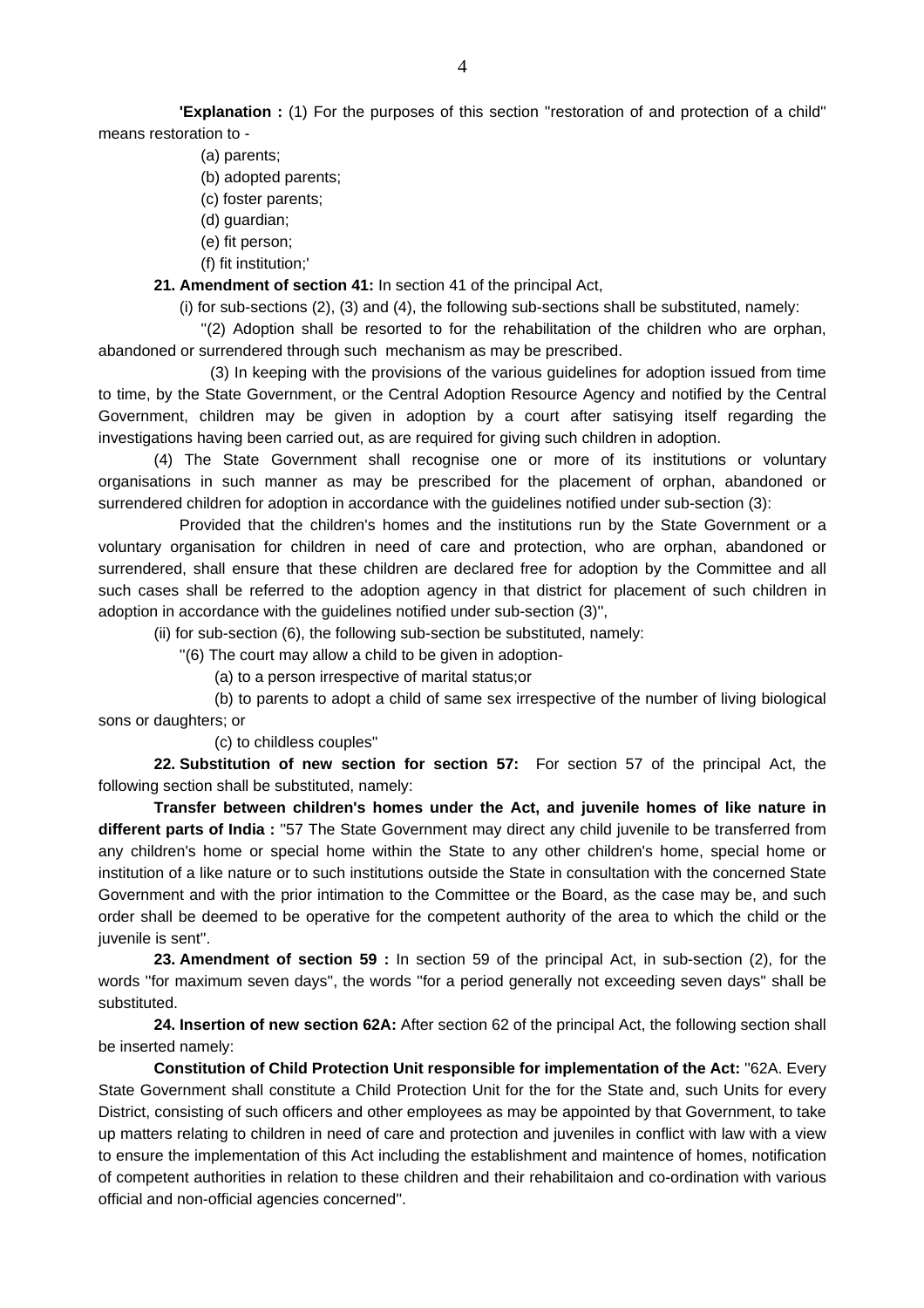**'Explanation :** (1) For the purposes of this section ''restoration of and protection of a child'' means restoration to -

- (a) parents;
- (b) adopted parents;
- (c) foster parents;
- (d) guardian;
- (e) fit person;
- (f) fit institution;'

#### **21. Amendment of section 41:** In section 41 of the principal Act,

(i) for sub-sections (2), (3) and (4), the following sub-sections shall be substituted, namely:

 ''(2) Adoption shall be resorted to for the rehabilitation of the children who are orphan, abandoned or surrendered through such mechanism as may be prescribed.

 (3) In keeping with the provisions of the various guidelines for adoption issued from time to time, by the State Government, or the Central Adoption Resource Agency and notified by the Central Government, children may be given in adoption by a court after satisying itself regarding the investigations having been carried out, as are required for giving such children in adoption.

 (4) The State Government shall recognise one or more of its institutions or voluntary organisations in such manner as may be prescribed for the placement of orphan, abandoned or surrendered children for adoption in accordance with the guidelines notified under sub-section (3):

 Provided that the children's homes and the institutions run by the State Government or a voluntary organisation for children in need of care and protection, who are orphan, abandoned or surrendered, shall ensure that these children are declared free for adoption by the Committee and all such cases shall be referred to the adoption agency in that district for placement of such children in adoption in accordance with the guidelines notified under sub-section (3)'',

(ii) for sub-section (6), the following sub-section be substituted, namely:

''(6) The court may allow a child to be given in adoption-

(a) to a person irrespective of marital status;or

 (b) to parents to adopt a child of same sex irrespective of the number of living biological sons or daughters; or

(c) to childless couples''

**22. Substitution of new section for section 57:** For section 57 of the principal Act, the following section shall be substituted, namely:

**Transfer between children's homes under the Act, and juvenile homes of like nature in different parts of India :** ''57 The State Government may direct any child juvenile to be transferred from any children's home or special home within the State to any other children's home, special home or institution of a like nature or to such institutions outside the State in consultation with the concerned State Government and with the prior intimation to the Committee or the Board, as the case may be, and such order shall be deemed to be operative for the competent authority of the area to which the child or the juvenile is sent''.

**23. Amendment of section 59 :** In section 59 of the principal Act, in sub-section (2), for the words ''for maximum seven days'', the words ''for a period generally not exceeding seven days'' shall be substituted.

**24. Insertion of new section 62A:** After section 62 of the principal Act, the following section shall be inserted namely:

**Constitution of Child Protection Unit responsible for implementation of the Act:** ''62A. Every State Government shall constitute a Child Protection Unit for the for the State and, such Units for every District, consisting of such officers and other employees as may be appointed by that Government, to take up matters relating to children in need of care and protection and juveniles in conflict with law with a view to ensure the implementation of this Act including the establishment and maintence of homes, notification of competent authorities in relation to these children and their rehabilitaion and co-ordination with various official and non-official agencies concerned''.